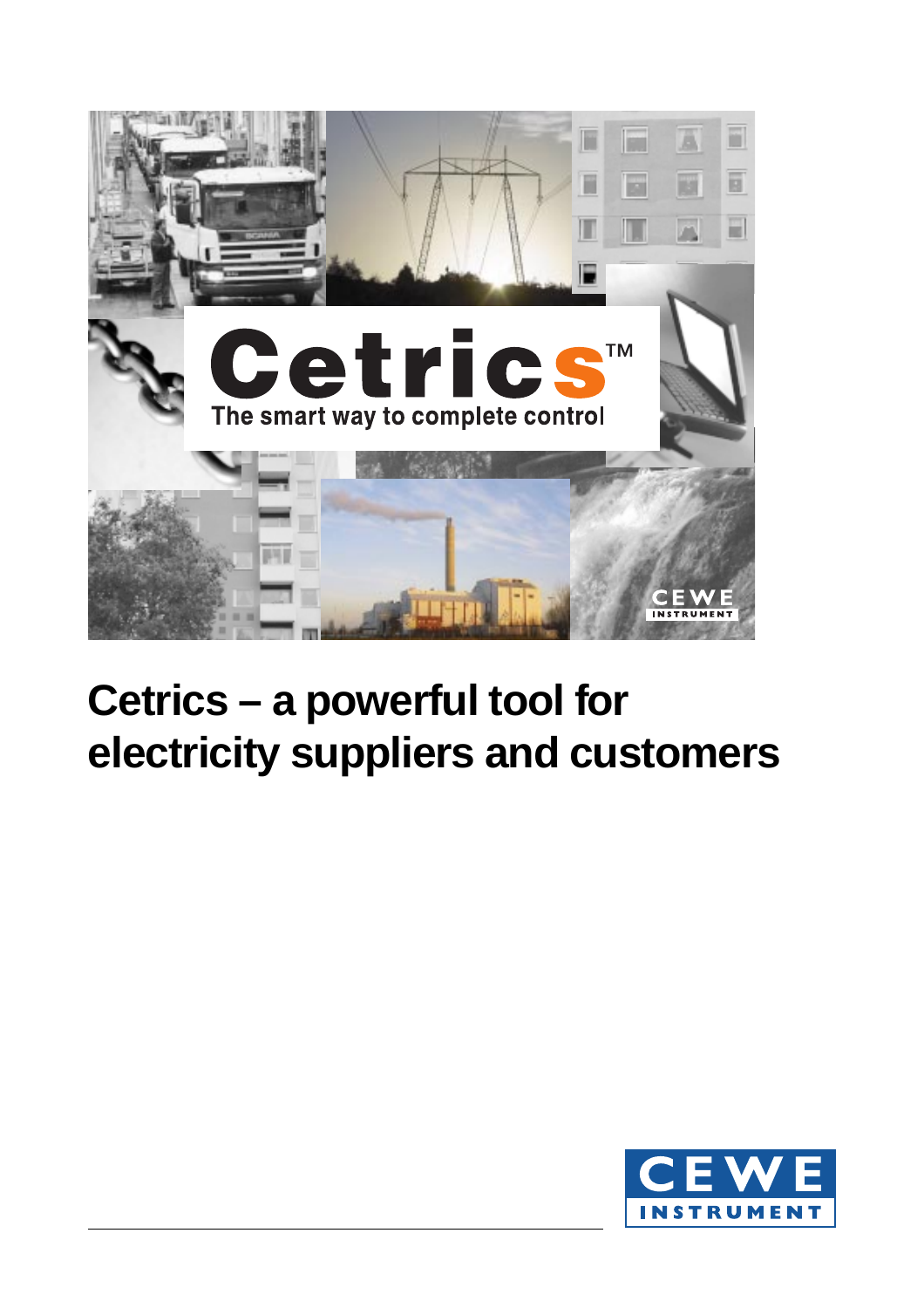

# **Cetrics – a powerful tool for electricity suppliers and customers**

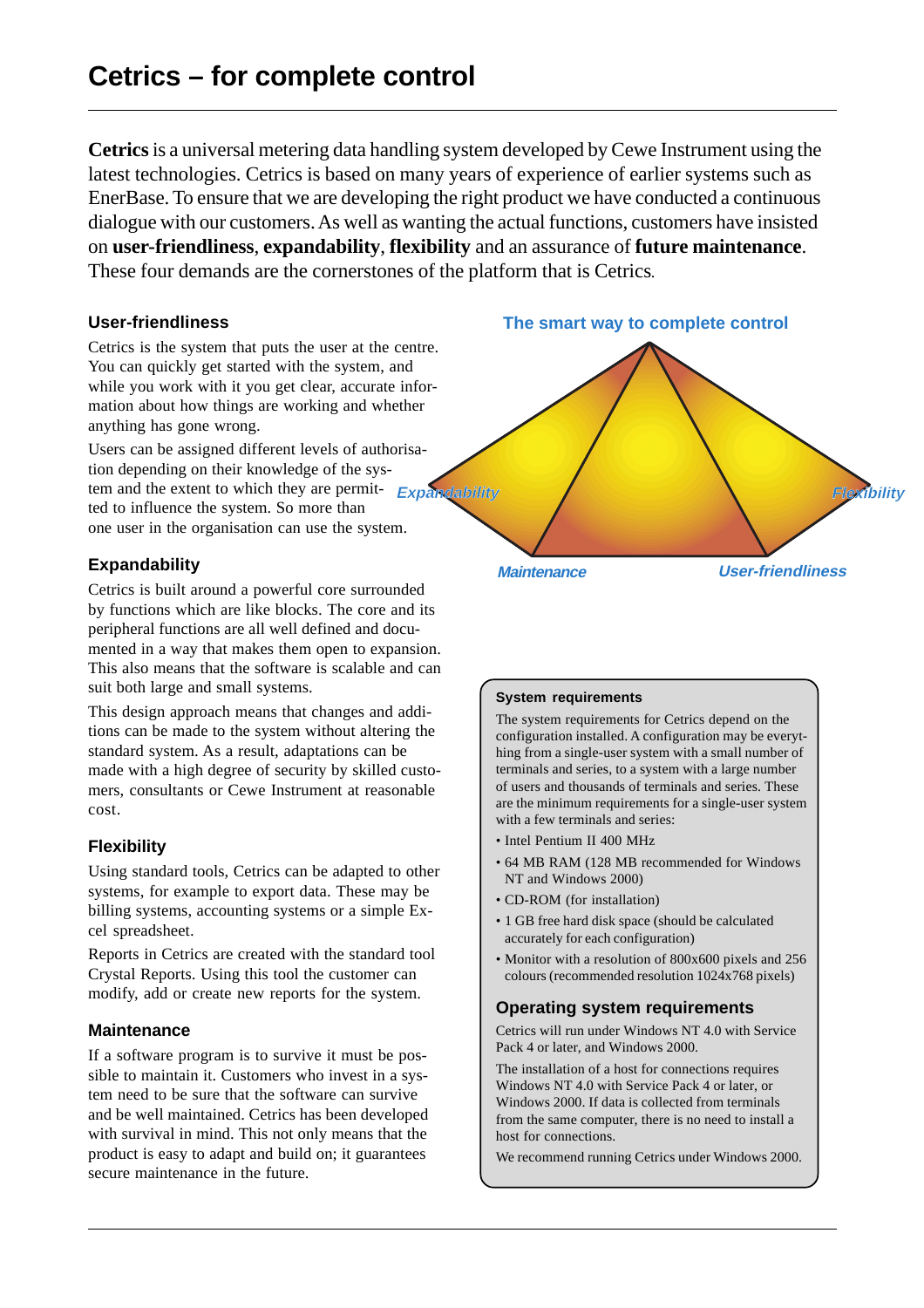**Cetrics** is a universal metering data handling system developed by Cewe Instrument using the latest technologies. Cetrics is based on many years of experience of earlier systems such as EnerBase. To ensure that we are developing the right product we have conducted a continuous dialogue with our customers. As well as wanting the actual functions, customers have insisted on **user-friendliness**, **expandability**, **flexibility** and an assurance of **future maintenance**. These four demands are the cornerstones of the platform that is Cetrics.

## **User-friendliness**

Cetrics is the system that puts the user at the centre. You can quickly get started with the system, and while you work with it you get clear, accurate information about how things are working and whether anything has gone wrong.

tem and the extent to which they are permit- **Expandability** Users can be assigned different levels of authorisation depending on their knowledge of the systed to influence the system. So more than one user in the organisation can use the system.

## **Expandability**

Cetrics is built around a powerful core surrounded by functions which are like blocks. The core and its peripheral functions are all well defined and documented in a way that makes them open to expansion. This also means that the software is scalable and can suit both large and small systems.

This design approach means that changes and additions can be made to the system without altering the standard system. As a result, adaptations can be made with a high degree of security by skilled customers, consultants or Cewe Instrument at reasonable cost.

#### **Flexibility**

Using standard tools, Cetrics can be adapted to other systems, for example to export data. These may be billing systems, accounting systems or a simple Excel spreadsheet.

Reports in Cetrics are created with the standard tool Crystal Reports. Using this tool the customer can modify, add or create new reports for the system.

#### **Maintenance**

If a software program is to survive it must be possible to maintain it. Customers who invest in a system need to be sure that the software can survive and be well maintained. Cetrics has been developed with survival in mind. This not only means that the product is easy to adapt and build on; it guarantees secure maintenance in the future.

**The smart way to complete control**

**Flexibility**

**User-friendliness**

## **System requirements**

**Maintenance**

The system requirements for Cetrics depend on the configuration installed. A configuration may be everything from a single-user system with a small number of terminals and series, to a system with a large number of users and thousands of terminals and series. These are the minimum requirements for a single-user system with a few terminals and series:

- Intel Pentium II 400 MHz
- 64 MB RAM (128 MB recommended for Windows NT and Windows 2000)
- CD-ROM (for installation)
- 1 GB free hard disk space (should be calculated accurately for each configuration)
- Monitor with a resolution of 800x600 pixels and 256 colours (recommended resolution 1024x768 pixels)

## **Operating system requirements**

Cetrics will run under Windows NT 4.0 with Service Pack 4 or later, and Windows 2000.

The installation of a host for connections requires Windows NT 4.0 with Service Pack 4 or later, or Windows 2000. If data is collected from terminals from the same computer, there is no need to install a host for connections.

We recommend running Cetrics under Windows 2000.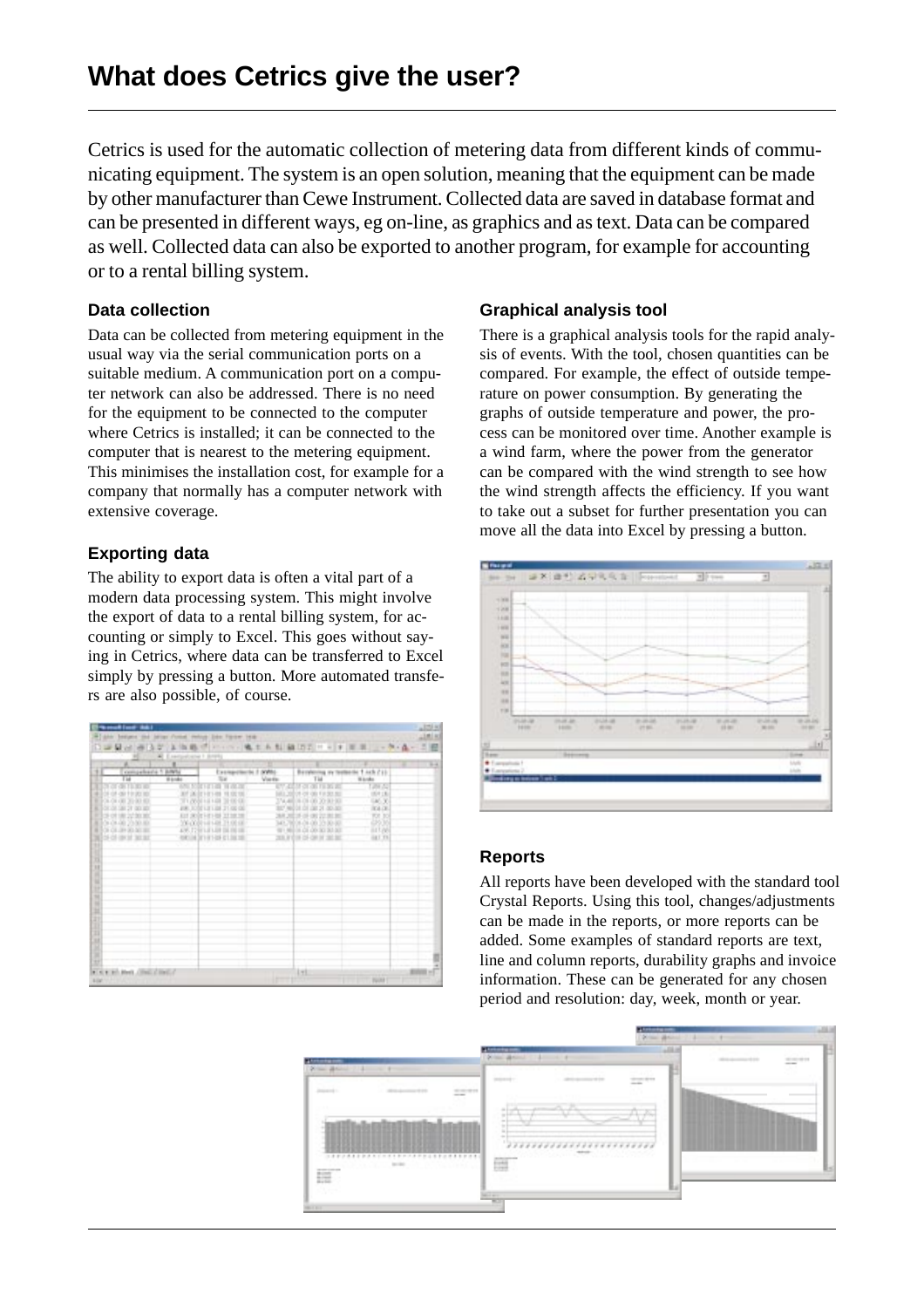Cetrics is used for the automatic collection of metering data from different kinds of communicating equipment. The system is an open solution, meaning that the equipment can be made by other manufacturer than Cewe Instrument. Collected data are saved in database format and can be presented in different ways, eg on-line, as graphics and as text. Data can be compared as well. Collected data can also be exported to another program, for example for accounting or to a rental billing system.

## **Data collection**

Data can be collected from metering equipment in the usual way via the serial communication ports on a suitable medium. A communication port on a computer network can also be addressed. There is no need for the equipment to be connected to the computer where Cetrics is installed; it can be connected to the computer that is nearest to the metering equipment. This minimises the installation cost, for example for a company that normally has a computer network with extensive coverage.

## **Exporting data**

The ability to export data is often a vital part of a modern data processing system. This might involve the export of data to a rental billing system, for accounting or simply to Excel. This goes without saying in Cetrics, where data can be transferred to Excel simply by pressing a button. More automated transfers are also possible, of course.

| compelsaria 1 BWN<br>T <sub>38</sub> | <b>Hinds</b><br>Tot                    | Exemploients 1 (KWI)<br>Vienna<br>. . | Berekoving ey to<br>Tid             | <b>BET-AKR CSS</b><br>Witness.<br>- 11 |  |
|--------------------------------------|----------------------------------------|---------------------------------------|-------------------------------------|----------------------------------------|--|
| <b>STORES</b>                        | <b>CONTRACTOR</b>                      |                                       | <b>CY 420M OF OR FROM 20</b>        | <b>Tubis AL</b>                        |  |
| OF OF JOINT ROLL BOT                 | AT ACTIVITIES TEST OF                  |                                       | Ma more of the transact             | 157115                                 |  |
| <b>DOLOR OR 20 00:00:</b>            | TO 2001 HE HIS 22 OC OU                |                                       | TAMEN OF 00 20:31:30                | CAY, V                                 |  |
| ALL CALCULCAN DV GALLASY             | 400, 3202 LT LBI 21.00 OE              |                                       | THE R P. LEWIS CO., LANSING MICH.   | <b>RADE</b>                            |  |
| <b>ESP OR DISCRIPTION</b>            | And plote into the only the            |                                       | was red on one per net per-         | BB                                     |  |
| BEECH ON OR 20 NO HOL                | TWOODFIELDS TRANSFERS                  |                                       | 143,790 to clo (d) 19:00-00         |                                        |  |
| WILL BY CALLIN'S SOLDERED            | AW, 12971-FAIR DE REGEL                |                                       | 491 MID IN CA ON 30 SO AT           | <b>HTM</b>                             |  |
| <b>NEW YORK SERVICE</b>              | excelled by tilt to lead or 1,000 mil- |                                       | tests or show toll-contact test but | 14.1.73                                |  |
|                                      |                                        |                                       |                                     |                                        |  |
|                                      |                                        |                                       |                                     |                                        |  |
|                                      |                                        |                                       |                                     |                                        |  |
|                                      |                                        |                                       |                                     |                                        |  |
|                                      |                                        |                                       |                                     |                                        |  |
|                                      |                                        |                                       |                                     |                                        |  |
|                                      |                                        |                                       |                                     |                                        |  |
|                                      |                                        |                                       |                                     |                                        |  |
|                                      |                                        |                                       |                                     |                                        |  |
|                                      |                                        |                                       |                                     |                                        |  |
|                                      |                                        |                                       |                                     |                                        |  |
|                                      |                                        |                                       |                                     |                                        |  |
|                                      |                                        |                                       |                                     |                                        |  |
|                                      |                                        |                                       |                                     |                                        |  |
|                                      |                                        |                                       |                                     |                                        |  |
|                                      |                                        |                                       |                                     |                                        |  |

## **Graphical analysis tool**

There is a graphical analysis tools for the rapid analysis of events. With the tool, chosen quantities can be compared. For example, the effect of outside temperature on power consumption. By generating the graphs of outside temperature and power, the process can be monitored over time. Another example is a wind farm, where the power from the generator can be compared with the wind strength to see how the wind strength affects the efficiency. If you want to take out a subset for further presentation you can move all the data into Excel by pressing a button.



## **Reports**

All reports have been developed with the standard tool Crystal Reports. Using this tool, changes/adjustments can be made in the reports, or more reports can be added. Some examples of standard reports are text, line and column reports, durability graphs and invoice information. These can be generated for any chosen period and resolution: day, week, month or year.